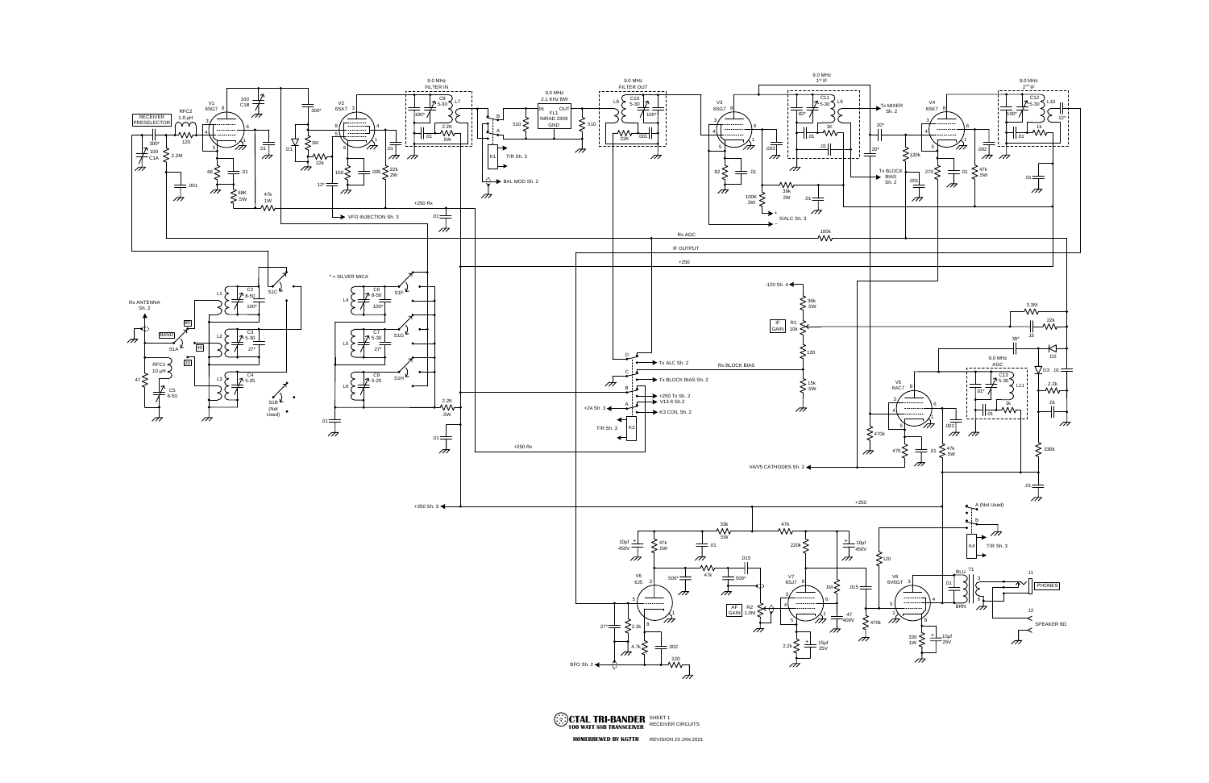

REVISION 23 JAN 2021 **HOMEBREWED BY KG7TR**SHEET 1 RECEIVER CIRCUITS **CTAL TRI-BANDER 100 WATT SSB TRANSCEIVER**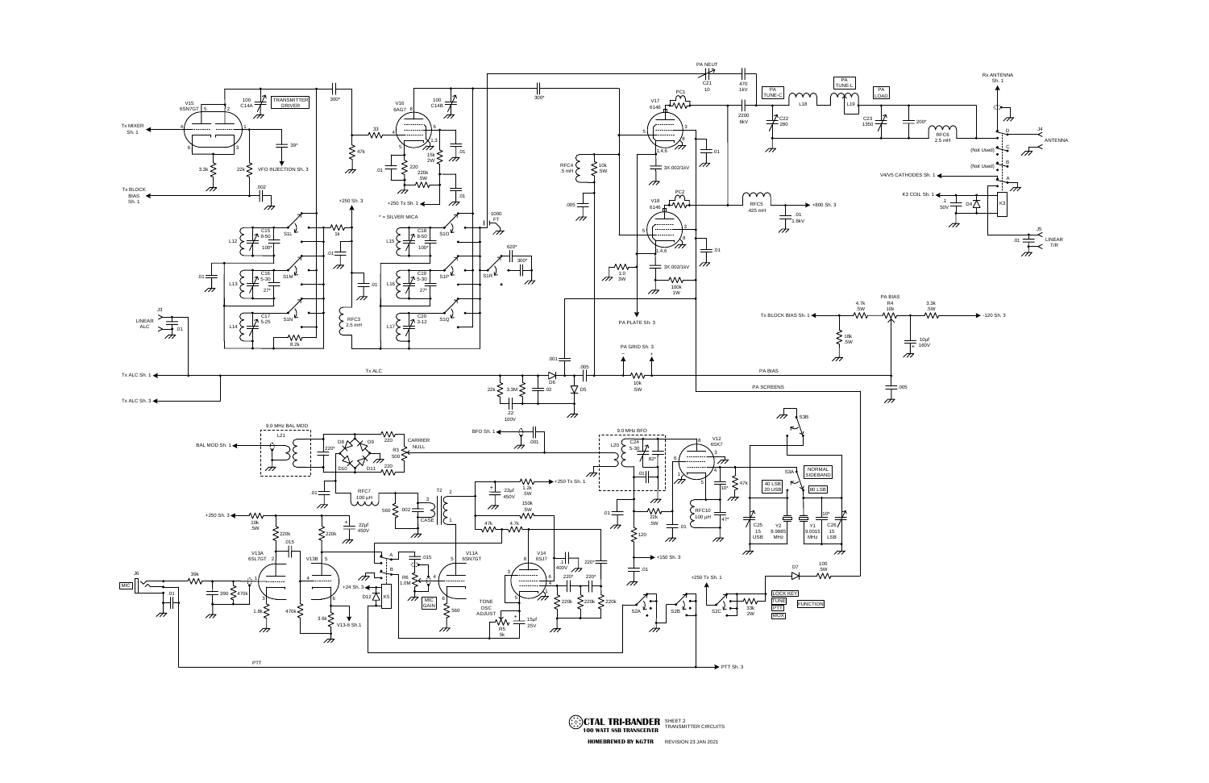

**CTAL TRI-BANDER** SHEET 2<br>100 WATT SSB TRANSCEIVER TRANSMITTER CIRCUITS<br>FIOMEBREWED BY KG7TR REVISION 23 JAN 2021 **100 WATT SSB TRANSCEIVER HOMEBREWED BY KG7TR**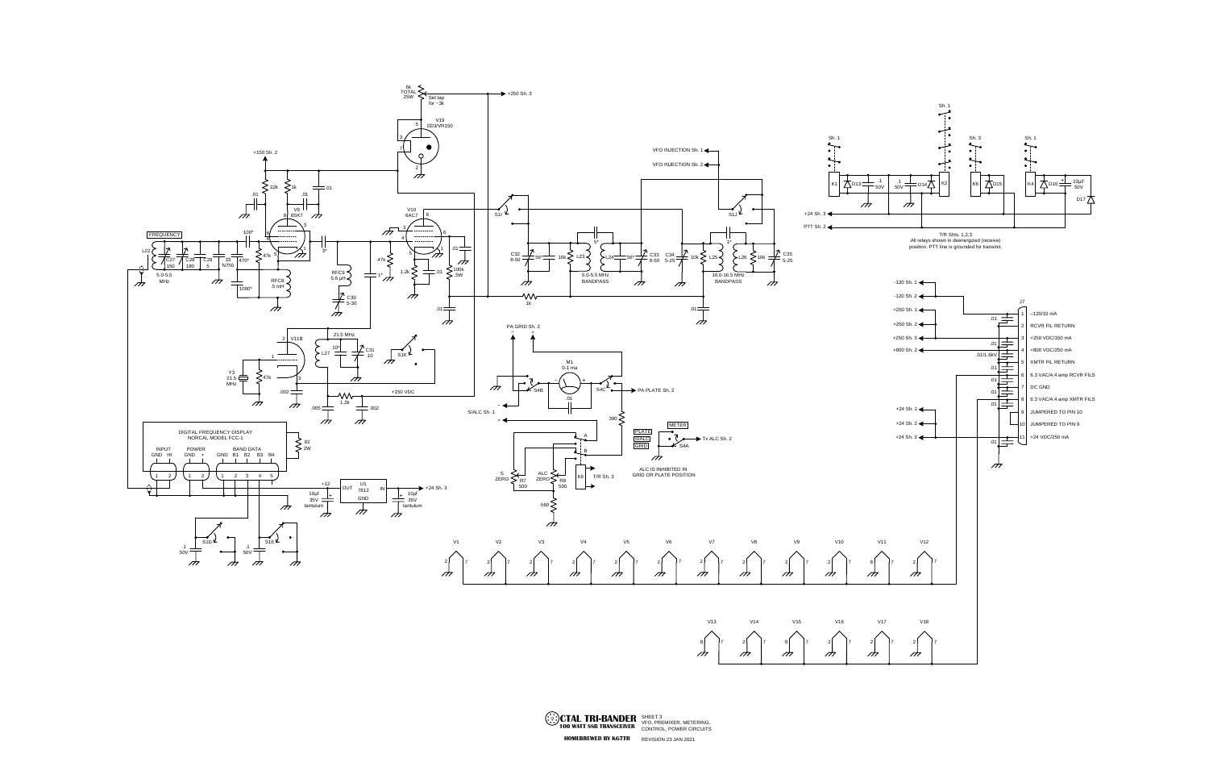



**CTAL TRI-BANDER** SHEET 3<br>**100 WATT SSB TRANSCEIVER** VFO, PREMIXER, METERING, **POWER CIRCUITS**<br>**HOMEBREWED BY KG7TR** REVISION 23 JAN 2021 **HOMEBREWED BY KG7TR**